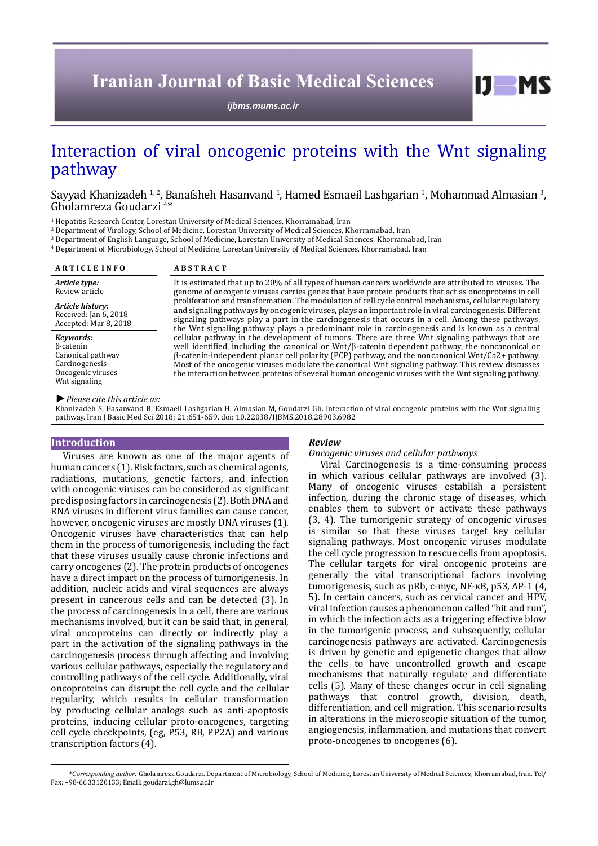# **Iranian Journal of Basic Medical Sciences**

*[ijbms.mums.ac.ir](http://ijbms.mums.ac.ir)*

## Interaction of viral oncogenic proteins with the Wnt signaling pathway

Sayyad Khanizadeh <sup>1, 2</sup>, Banafsheh Hasanvand <sup>1</sup>, Hamed Esmaeil Lashgarian <sup>1</sup>, Mohammad Almasian <sup>3</sup>,<br>Gholamreza Goudarzi <sup>4\*</sup> Gholamreza Goudarzi<sup>4\*</sup>

<sup>1</sup> Hepatitis Research Center, Lorestan University of Medical Sciences, Khorramabad, Iran

2 Department of Virology, School of Medicine, Lorestan University of Medical Sciences, Khorramabad, Iran

3 Department of English Language, School of Medicine, Lorestan University of Medical Sciences, Khorramabad, Iran

4 Department of Microbiology, School of Medicine, Lorestan University of Medical Sciences, Khorramabad, Iran

| <b>ARTICLE INFO</b>                                                                                 | <b>ABSTRACT</b>                                                                                                                                                                                                                                                                                                                                                                                                                                                                                                                                                                                                                            |  |
|-----------------------------------------------------------------------------------------------------|--------------------------------------------------------------------------------------------------------------------------------------------------------------------------------------------------------------------------------------------------------------------------------------------------------------------------------------------------------------------------------------------------------------------------------------------------------------------------------------------------------------------------------------------------------------------------------------------------------------------------------------------|--|
| Article type:<br>Review article                                                                     | It is estimated that up to 20% of all types of human cancers worldwide are attributed to viruses. The<br>genome of oncogenic viruses carries genes that have protein products that act as oncoproteins in cell<br>proliferation and transformation. The modulation of cell cycle control mechanisms, cellular regulatory<br>and signaling pathways by oncogenic viruses, plays an important role in viral carcinogenesis. Different<br>signaling pathways play a part in the carcinogenesis that occurs in a cell. Among these pathways,<br>the Wnt signaling pathway plays a predominant role in carcinogenesis and is known as a central |  |
| Article history:<br>Received: Jan 6, 2018<br>Accepted: Mar 8, 2018                                  |                                                                                                                                                                                                                                                                                                                                                                                                                                                                                                                                                                                                                                            |  |
| Keywords:<br>β-catenin<br>Canonical pathway<br>Carcinogenesis<br>Oncogenic viruses<br>Wnt signaling | cellular pathway in the development of tumors. There are three Wnt signaling pathways that are<br>well identified, including the canonical or $Wnt/\beta$ -catenin dependent pathway, the noncanonical or<br>β-catenin-independent planar cell polarity (PCP) pathway, and the noncanonical Wnt/Ca2+ pathway.<br>Most of the oncogenic viruses modulate the canonical Wnt signaling pathway. This review discusses<br>the interaction between proteins of several human oncogenic viruses with the Wnt signaling pathway.                                                                                                                  |  |

*►Please cite this article as:*

Khanizadeh S, Hasanvand B, Esmaeil Lashgarian H, Almasian M, Goudarzi Gh. Interaction of viral oncogenic proteins with the Wnt signaling pathway. Iran J Basic Med Sci 2018; 21:651-659. doi: 10.22038/IJBMS.2018.28903.6982

#### **Introduction**

Viruses are known as one of the major agents of human cancers (1). Risk factors, such as chemical agents, radiations, mutations, genetic factors, and infection with oncogenic viruses can be considered as significant predisposing factors in carcinogenesis (2). Both DNA and RNA viruses in different virus families can cause cancer, however, oncogenic viruses are mostly DNA viruses (1). Oncogenic viruses have characteristics that can help them in the process of tumorigenesis, including the fact that these viruses usually cause chronic infections and carry oncogenes (2). The protein products of oncogenes have a direct impact on the process of tumorigenesis. In addition, nucleic acids and viral sequences are always present in cancerous cells and can be detected (3). In the process of carcinogenesis in a cell, there are various mechanisms involved, but it can be said that, in general, viral oncoproteins can directly or indirectly play a part in the activation of the signaling pathways in the carcinogenesis process through affecting and involving various cellular pathways, especially the regulatory and controlling pathways of the cell cycle. Additionally, viral oncoproteins can disrupt the cell cycle and the cellular regularity, which results in cellular transformation by producing cellular analogs such as anti-apoptosis proteins, inducing cellular proto-oncogenes, targeting cell cycle checkpoints, (eg, P53, RB, PP2A) and various transcription factors (4).

#### *Review*

#### *Oncogenic viruses and cellular pathways*

Viral Carcinogenesis is a time-consuming process in which various cellular pathways are involved (3). Many of oncogenic viruses establish a persistent infection, during the chronic stage of diseases, which enables them to subvert or activate these pathways (3, 4). The tumorigenic strategy of oncogenic viruses is similar so that these viruses target key cellular signaling pathways. Most oncogenic viruses modulate the cell cycle progression to rescue cells from apoptosis. The cellular targets for viral oncogenic proteins are generally the vital transcriptional factors involving tumorigenesis, such as pRb, c-myc, NF-κB, p53, AP-1 (4, 5). In certain cancers, such as cervical cancer and HPV, viral infection causes a phenomenon called "hit and run", in which the infection acts as a triggering effective blow in the tumorigenic process, and subsequently, cellular carcinogenesis pathways are activated. Carcinogenesis is driven by genetic and epigenetic changes that allow the cells to have uncontrolled growth and escape mechanisms that naturally regulate and differentiate cells (5). Many of these changes occur in cell signaling pathways that control growth, division, death, differentiation, and cell migration. This scenario results in alterations in the microscopic situation of the tumor, angiogenesis, inflammation, and mutations that convert proto-oncogenes to oncogenes (6).

 $I$   $I$   $M$   $S$ 

*\*Corresponding author:* Gholamreza Goudarzi. Department of Microbiology, School of Medicine, Lorestan University of Medical Sciences, Khorramabad, Iran. Tel/ Fax: +98-66 33120133; Email: goudarzi.gh@lums.ac.ir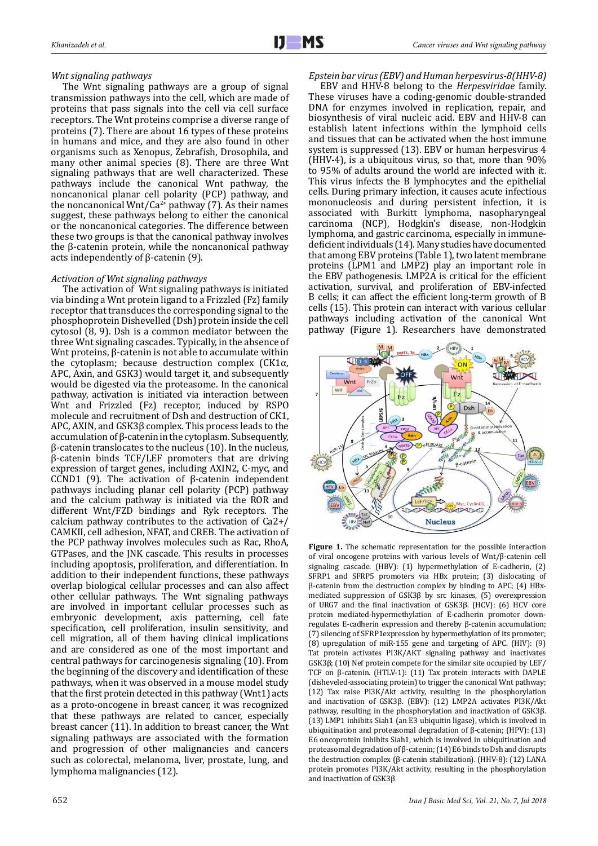#### *Wnt signaling pathways*

The Wnt signaling pathways are a group of signal transmission pathways into the cell, which are made of proteins that pass signals into the cell via cell surface receptors. The Wnt proteins comprise a diverse range of proteins (7). There are about 16 types of these proteins in humans and mice, and they are also found in other organisms such as Xenopus, Zebrafish, Drosophila, and many other animal species (8). There are three Wnt signaling pathways that are well characterized. These pathways include the canonical Wnt pathway, the noncanonical planar cell polarity (PCP) pathway, and the noncanonical Wnt/Ca<sup>2+</sup> pathway (7). As their names suggest, these pathways belong to either the canonical or the noncanonical categories. The difference between these two groups is that the canonical pathway involves the β-catenin protein, while the noncanonical pathway acts independently of β-catenin (9).

#### *Activation of Wnt signaling pathways*

The activation of Wnt signaling pathways is initiated via binding a Wnt protein ligand to a Frizzled (Fz) family receptor that transduces the corresponding signal to the phosphoprotein Dishevelled (Dsh) protein inside the cell cytosol (8, 9). Dsh is a common mediator between the three Wnt signaling cascades. Typically, in the absence of Wnt proteins, β-catenin is not able to accumulate within the cytoplasm; because destruction complex  $(CK1\alpha,$ APC, Axin, and GSK3) would target it, and subsequently would be digested via the proteasome. In the canonical pathway, activation is initiated via interaction between Wnt and Frizzled (Fz) receptor, induced by RSPO molecule and recruitment of Dsh and destruction of CK1, APC, AXIN, and GSK3β complex. This process leads to the accumulation of β-catenin in the cytoplasm. Subsequently, β-catenin translocates to the nucleus (10). In the nucleus, β-catenin binds TCF/LEF promoters that are driving expression of target genes, including AXIN2, C‐myc, and CCND1 (9). The activation of β-catenin independent pathways including planar cell polarity (PCP) pathway and the calcium pathway is initiated via the ROR and different Wnt/FZD bindings and Ryk receptors. The calcium pathway contributes to the activation of Ca2+/ CAMKII, cell adhesion, NFAT, and CREB. The activation of the PCP pathway involves molecules such as Rac, RhoA, GTPases, and the JNK cascade. This results in processes including apoptosis, proliferation, and differentiation. In addition to their independent functions, these pathways overlap biological cellular processes and can also affect other cellular pathways. The Wnt signaling pathways are involved in important cellular processes such as embryonic development, axis patterning, cell fate specification, cell proliferation, insulin sensitivity, and cell migration, all of them having clinical implications and are considered as one of the most important and central pathways for carcinogenesis signaling (10). From the beginning of the discovery and identification of these pathways, when it was observed in a mouse model study that the first protein detected in this pathway (Wnt1) acts as a proto-oncogene in breast cancer, it was recognized that these pathways are related to cancer, especially breast cancer (11). In addition to breast cancer, the Wnt signaling pathways are associated with the formation and progression of other malignancies and cancers such as colorectal, melanoma, liver, prostate, lung, and lymphoma malignancies (12).

*Epstein bar virus (EBV) and Human herpesvirus-8(HHV-8)* 

EBV and HHV-8 belong to the *Herpesviridae* family. These viruses have a coding-genomic double-stranded DNA for enzymes involved in replication, repair, and biosynthesis of viral nucleic acid. EBV and HHV-8 can establish latent infections within the lymphoid cells and tissues that can be activated when the host immune system is suppressed (13). EBV or human herpesvirus 4 (HHV-4), is a ubiquitous virus, so that, more than 90% to 95% of adults around the world are infected with it. This virus infects the B lymphocytes and the epithelial cells. During primary infection, it causes acute infectious mononucleosis and during persistent infection, it is associated with Burkitt lymphoma, nasopharyngeal carcinoma (NCP), Hodgkin's disease, non-Hodgkin lymphoma, and gastric carcinoma, especially in immunedeficient individuals (14). Many studies have documented that among EBV proteins (Table 1), two latent membrane proteins (LPM1 and LMP2) play an important role in the EBV pathogenesis. LMP2A is critical for the efficient activation, survival, and proliferation of EBV-infected B cells; it can affect the efficient long-term growth of B cells (15). This protein can interact with various cellular pathways including activation of the canonical Wnt pathway (Figure 1). Researchers have demonstrated



Figure 1. The schematic representation for the possible interaction of viral oncogene proteins with various levels of Wnt/β-catenin cell signaling cascade. (HBV): (1) hypermethylation of E-cadherin, (2) SFRP1 and SFRP5 promoters via HBx protein; (3) dislocating of β-catenin from the destruction complex by binding to APC; (4) HBxmediated suppression of GSK3β by src kinases, (5) overexpression of URG7 and the final inactivation of GSK3β. (HCV): (6) HCV core protein mediated-hypermethylation of E-cadherin promoter downregulates E-cadherin expression and thereby β-catenin accumulation; (7) silencing of SFRP1expression by hypermethylation of its promoter; (8) upregulation of miR-155 gene and targeting of APC. (HIV): (9) Tat protein activates PI3K/AKT signaling pathway and inactivates GSK3β; (10) Nef protein compete for the similar site occupied by LEF/ TCF on β-catenin. (HTLV-1): (11) Tax protein interacts with DAPLE (disheveled-associating protein) to trigger the canonical Wnt pathway; (12) Tax raise PI3K/Akt activity, resulting in the phosphorylation and inactivation of GSK3β. (EBV): (12) LMP2A activates PI3K/Akt pathway, resulting in the phosphorylation and inactivation of GSK3β. (13) LMP1 inhibits Siah1 (an E3 ubiquitin ligase), which is involved in ubiquitination and proteasomal degradation of β-catenin; (HPV): (13) E6 oncoprotein inhibits Siah1, which is involved in ubiquitination and proteasomal degradation of β-catenin; (14) E6 binds to Dsh and disrupts the destruction complex (β-catenin stabilization). (HHV-8): (12) LANA protein promotes PI3K/Akt activity, resulting in the phosphorylation and inactivation of GSK3β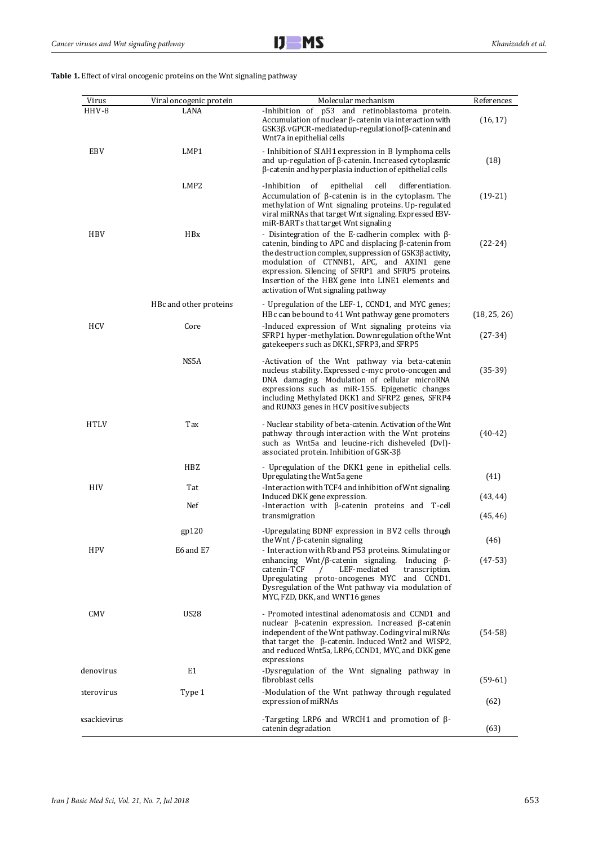**Table 1.** Effect of viral oncogenic proteins on the Wnt signaling pathway

| Virus             | Viral oncogenic protein | Molecular mechanism                                                                                                                                                                                                                                                                                                                                                                 | References   |
|-------------------|-------------------------|-------------------------------------------------------------------------------------------------------------------------------------------------------------------------------------------------------------------------------------------------------------------------------------------------------------------------------------------------------------------------------------|--------------|
| HHV-8             | LANA                    | -Inhibition of p53 and retinoblastoma protein.<br>Accumulation of nuclear β-catenin via interaction with<br>GSK3β.vGPCR-mediated up-regulation of β-catenin and<br>Wnt7a in epithelial cells                                                                                                                                                                                        | (16, 17)     |
| EBV               | LMP1                    | - Inhibition of SIAH1 expression in B lymphoma cells<br>and up-regulation of β-catenin. Increased cytoplasmic<br>$\beta$ -catenin and hyperplasia induction of epithelial cells                                                                                                                                                                                                     | (18)         |
|                   | LMP2                    | -Inhibition<br>of<br>epithelial<br>cell<br>differentiation.<br>Accumulation of $\beta$ -catenin is in the cytoplasm. The<br>methylation of Wnt signaling proteins. Up-regulated<br>viral miRNAs that target Wnt signaling. Expressed EBV-<br>miR-BARTs that target Wnt signaling                                                                                                    | $(19-21)$    |
| <b>HBV</b>        | <b>HBx</b>              | - Disintegration of the E-cadherin complex with $\beta$ -<br>catenin, binding to APC and displacing $\beta$ -catenin from<br>the destruction complex, suppression of GSK3β activity,<br>modulation of CTNNB1, APC, and AXIN1 gene<br>expression. Silencing of SFRP1 and SFRP5 proteins.<br>Insertion of the HBX gene into LINE1 elements and<br>activation of Wnt signaling pathway | $(22-24)$    |
|                   | HBc and other proteins  | - Upregulation of the LEF-1, CCND1, and MYC genes;<br>HBc can be bound to 41 Wnt pathway gene promoters                                                                                                                                                                                                                                                                             | (18, 25, 26) |
| <b>HCV</b>        | Core                    | -Induced expression of Wnt signaling proteins via<br>SFRP1 hyper-methylation. Downregulation of the Wnt<br>gatekeepers such as DKK1, SFRP3, and SFRP5                                                                                                                                                                                                                               | $(27-34)$    |
|                   | NS5A                    | -Activation of the Wnt pathway via beta-catenin<br>nucleus stability. Expressed c-myc proto-oncogen and<br>DNA damaging. Modulation of cellular microRNA<br>expressions such as miR-155. Epigenetic changes<br>including Methylated DKK1 and SFRP2 genes, SFRP4<br>and RUNX3 genes in HCV positive subjects                                                                         | $(35-39)$    |
| <b>HTLV</b>       | Tax                     | - Nuclear stability of beta-catenin. Activation of the Wnt<br>pathway through interaction with the Wnt proteins<br>such as Wnt5a and leucine-rich disheveled (Dvl)-<br>associated protein. Inhibition of GSK-3ß                                                                                                                                                                     | $(40-42)$    |
|                   | HBZ                     | - Upregulation of the DKK1 gene in epithelial cells.<br>Upregulating the Wnt5a gene                                                                                                                                                                                                                                                                                                 | (41)         |
| HIV               | Tat                     | -Interaction with TCF4 and inhibition of Wnt signaling                                                                                                                                                                                                                                                                                                                              |              |
| <b>HPV</b>        | Nef                     | Induced DKK gene expression.<br>-Interaction with $\beta$ -catenin proteins and T-cell                                                                                                                                                                                                                                                                                              | (43, 44)     |
|                   | gp120                   | transmigration<br>-Upregulating BDNF expression in BV2 cells through                                                                                                                                                                                                                                                                                                                | (45, 46)     |
|                   | E6 and E7               | the Wnt / $\beta$ -catenin signaling                                                                                                                                                                                                                                                                                                                                                | (46)         |
|                   |                         | - Interaction with Rb and P53 proteins. Stimulating or<br>enhancing Wnt/ $\beta$ -catenin signaling. Inducing $\beta$ -<br>LEF-mediated<br>catenin-TCF<br>transcription.<br>$\prime$<br>Upregulating proto-oncogenes MYC and CCND1.<br>Dysregulation of the Wnt pathway via modulation of<br>MYC, FZD, DKK, and WNT16 genes                                                         | $(47-53)$    |
| CMV               | <b>US28</b>             | - Promoted intestinal adenomatosis and CCND1 and<br>nuclear $\beta$ -catenin expression. Increased $\beta$ -catenin<br>independent of the Wnt pathway. Coding viral miRNAs<br>that target the $\beta$ -catenin. Induced Wnt2 and WISP2,<br>and reduced Wnt5a, LRP6, CCND1, MYC, and DKK gene<br>expressions                                                                         | $(54-58)$    |
| denovirus         | E1                      | -Dysregulation of the Wnt signaling pathway in<br>fibroblast cells                                                                                                                                                                                                                                                                                                                  | $(59-61)$    |
| <b>aterovirus</b> | Type 1                  | -Modulation of the Wnt pathway through regulated<br>expression of miRNAs                                                                                                                                                                                                                                                                                                            | (62)         |
| xsackievirus      |                         | -Targeting LRP6 and WRCH1 and promotion of $\beta$ -<br>catenin degradation                                                                                                                                                                                                                                                                                                         | (63)         |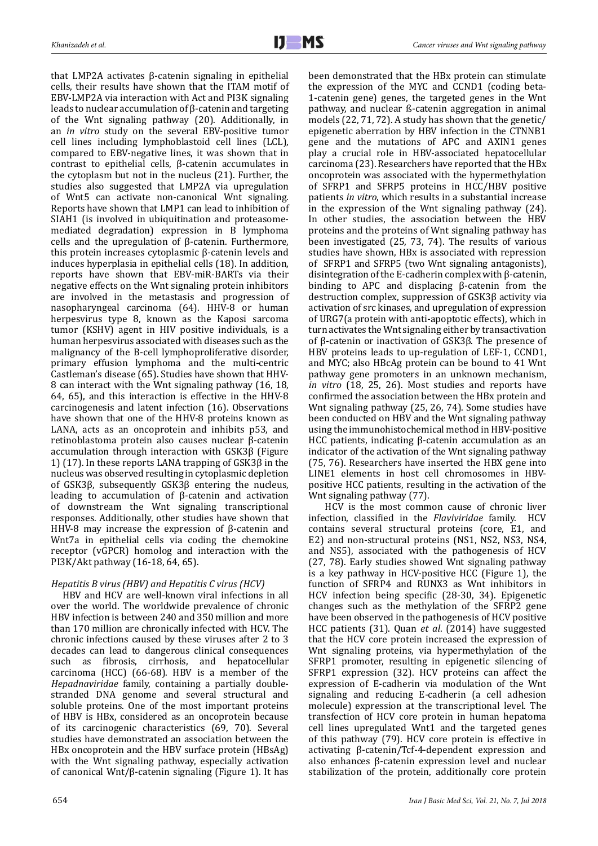that LMP2A activates β-catenin signaling in epithelial cells, their results have shown that the ITAM motif of EBV-LMP2A via interaction with Act and PI3K signaling leads to nuclear accumulation of β-catenin and targeting of the Wnt signaling pathway (20). Additionally, in an *in vitro* study on the several EBV-positive tumor cell lines including lymphoblastoid cell lines (LCL), compared to EBV-negative lines, it was shown that in contrast to epithelial cells, β-catenin accumulates in the cytoplasm but not in the nucleus (21). Further, the studies also suggested that LMP2A via upregulation of Wnt5 can activate non-canonical Wnt signaling. Reports have shown that LMP1 can lead to inhibition of SIAH1 (is involved in ubiquitination and proteasomemediated degradation) expression in B lymphoma cells and the upregulation of β-catenin. Furthermore, this protein increases cytoplasmic β-catenin levels and induces hyperplasia in epithelial cells (18). In addition, reports have shown that EBV-miR-BARTs via their negative effects on the Wnt signaling protein inhibitors are involved in the metastasis and progression of nasopharyngeal carcinoma (64). HHV-8 or human herpesvirus type 8, known as the Kaposi sarcoma tumor (KSHV) agent in HIV positive individuals, is a human herpesvirus associated with diseases such as the malignancy of the B-cell lymphoproliferative disorder, primary effusion lymphoma and the multi-centric Castleman's disease (65). Studies have shown that HHV-8 can interact with the Wnt signaling pathway (16, 18, 64, 65), and this interaction is effective in the HHV-8 carcinogenesis and latent infection (16). Observations have shown that one of the HHV-8 proteins known as LANA, acts as an oncoprotein and inhibits p53, and retinoblastoma protein also causes nuclear β-catenin accumulation through interaction with GSK3β (Figure 1) (17). In these reports LANA trapping of GSK3β in the nucleus was observed resulting in cytoplasmic depletion of GSK3β, subsequently GSK3β entering the nucleus, leading to accumulation of β-catenin and activation of downstream the Wnt signaling transcriptional responses. Additionally, other studies have shown that HHV-8 may increase the expression of β-catenin and Wnt7a in epithelial cells via coding the chemokine receptor (vGPCR) homolog and interaction with the PI3K/Akt pathway (16-18, 64, 65).

## *Hepatitis B virus (HBV) and Hepatitis C virus (HCV)*

HBV and HCV are well-known viral infections in all over the world. The worldwide prevalence of chronic HBV infection is between 240 and 350 million and more than 170 million are chronically infected with HCV. The chronic infections caused by these viruses after 2 to 3 decades can lead to dangerous clinical consequences such as fibrosis, cirrhosis, and hepatocellular carcinoma (HCC) (66-68). HBV is a member of the *Hepadnaviridae* family, containing a partially doublestranded DNA genome and several structural and soluble proteins. One of the most important proteins of HBV is HBx, considered as an oncoprotein because of its carcinogenic characteristics (69, 70). Several studies have demonstrated an association between the HBx oncoprotein and the HBV surface protein (HBsAg) with the Wnt signaling pathway, especially activation of canonical Wnt/β-catenin signaling (Figure 1). It has

been demonstrated that the HBx protein can stimulate the expression of the MYC and CCND1 (coding beta-1-catenin gene) genes, the targeted genes in the Wnt pathway, and nuclear ß-catenin aggregation in animal models (22, 71, 72). A study has shown that the genetic/ epigenetic aberration by HBV infection in the CTNNB1 gene and the mutations of APC and AXIN1 genes play a crucial role in HBV-associated hepatocellular carcinoma (23). Researchers have reported that the HBx oncoprotein was associated with the hypermethylation of SFRP1 and SFRP5 proteins in HCC/HBV positive patients *in vitro*, which results in a substantial increase in the expression of the Wnt signaling pathway (24). In other studies, the association between the HBV proteins and the proteins of Wnt signaling pathway has been investigated (25, 73, 74). The results of various studies have shown, HBx is associated with repression of SFRP1 and SFRP5 (two Wnt signaling antagonists), disintegration of the E-cadherin complex with β-catenin, binding to APC and displacing β-catenin from the destruction complex, suppression of GSK3β activity via activation of src kinases, and upregulation of expression of URG7(a protein with anti-apoptotic effects), which in turn activates the Wnt signaling either by transactivation of β-catenin or inactivation of GSK3β. The presence of HBV proteins leads to up-regulation of LEF-1, CCND1, and MYC; also HBcAg protein can be bound to 41 Wnt pathway gene promoters in an unknown mechanism, *in vitro* (18, 25, 26). Most studies and reports have confirmed the association between the HBx protein and Wnt signaling pathway (25, 26, 74). Some studies have been conducted on HBV and the Wnt signaling pathway using the immunohistochemical method in HBV-positive HCC patients, indicating β-catenin accumulation as an indicator of the activation of the Wnt signaling pathway (75, 76). Researchers have inserted the HBX gene into LINE1 elements in host cell chromosomes in HBVpositive HCC patients, resulting in the activation of the Wnt signaling pathway (77).

 HCV is the most common cause of chronic liver infection, classified in the *Flaviviridae* family. HCV contains several structural proteins (core, E1, and E2) and non-structural proteins (NS1, NS2, NS3, NS4, and NS5), associated with the pathogenesis of HCV (27, 78). Early studies showed Wnt signaling pathway is a key pathway in HCV-positive HCC (Figure 1), the function of SFRP4 and RUNX3 as Wnt inhibitors in HCV infection being specific (28-30, 34). Epigenetic changes such as the methylation of the SFRP2 gene have been observed in the pathogenesis of HCV positive HCC patients (31). Quan *et al*. (2014) have suggested that the HCV core protein increased the expression of Wnt signaling proteins, via hypermethylation of the SFRP1 promoter, resulting in epigenetic silencing of SFRP1 expression (32). HCV proteins can affect the expression of E-cadherin via modulation of the Wnt signaling and reducing E-cadherin (a cell adhesion molecule) expression at the transcriptional level. The transfection of HCV core protein in human hepatoma cell lines upregulated Wnt1 and the targeted genes of this pathway (79). HCV core protein is effective in activating β-catenin/Tcf-4-dependent expression and also enhances β-catenin expression level and nuclear stabilization of the protein, additionally core protein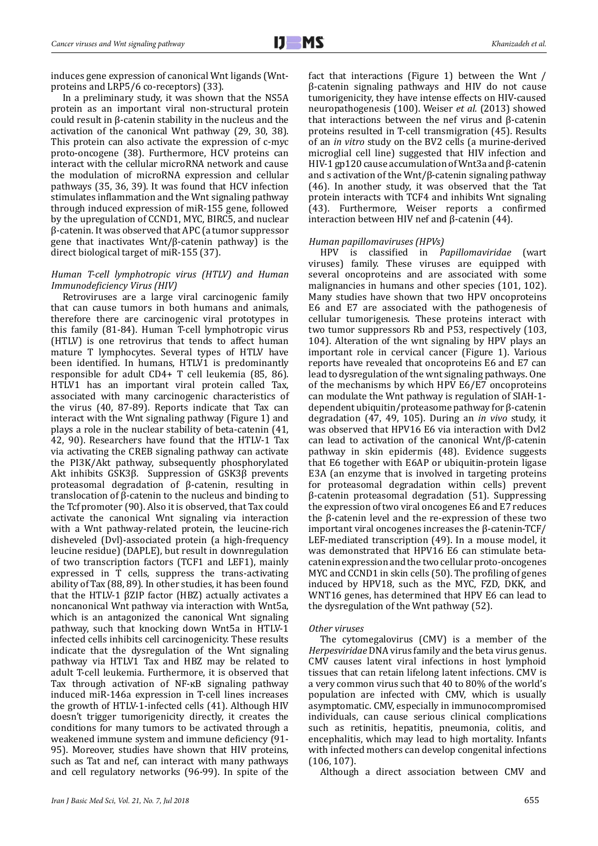induces gene expression of canonical Wnt ligands (Wntproteins and LRP5/6 co-receptors) (33).

In a preliminary study, it was shown that the NS5A protein as an important viral non-structural protein could result in β-catenin stability in the nucleus and the activation of the canonical Wnt pathway (29, 30, 38). This protein can also activate the expression of c-myc proto-oncogene (38). Furthermore, HCV proteins can interact with the cellular microRNA network and cause the modulation of microRNA expression and cellular pathways (35, 36, 39). It was found that HCV infection stimulates inflammation and the Wnt signaling pathway through induced expression of miR-155 gene, followed by the upregulation of CCND1, MYC, BIRC5, and nuclear β-catenin. It was observed that APC (a tumor suppressor gene that inactivates Wnt/β-catenin pathway) is the direct biological target of miR-155 (37).

## *Human T-cell lymphotropic virus (HTLV) and Human Immunodeficiency Virus (HIV)*

Retroviruses are a large viral carcinogenic family that can cause tumors in both humans and animals, therefore there are carcinogenic viral prototypes in this family (81-84). Human T-cell lymphotropic virus (HTLV) is one retrovirus that tends to affect human mature T lymphocytes. Several types of HTLV have been identified. In humans, HTLV1 is predominantly responsible for adult CD4+ T cell leukemia (85, 86). HTLV1 has an important viral protein called Tax, associated with many carcinogenic characteristics of the virus (40, 87-89). Reports indicate that Tax can interact with the Wnt signaling pathway (Figure 1) and plays a role in the nuclear stability of beta-catenin (41, 42, 90). Researchers have found that the HTLV-1 Tax via activating the CREB signaling pathway can activate the PI3K/Akt pathway, subsequently phosphorylated Akt inhibits GSK3β. Suppression of GSK3β prevents proteasomal degradation of β-catenin, resulting in translocation of β-catenin to the nucleus and binding to the Tcf promoter (90). Also it is observed, that Tax could activate the canonical Wnt signaling via interaction with a Wnt pathway-related protein, the leucine-rich disheveled (Dvl)-associated protein (a high-frequency leucine residue) (DAPLE), but result in downregulation of two transcription factors (TCF1 and LEF1), mainly expressed in T cells, suppress the trans-activating ability of Tax (88, 89). In other studies, it has been found that the HTLV-1 βZIP factor (HBZ) actually activates a noncanonical Wnt pathway via interaction with Wnt5a, which is an antagonized the canonical Wnt signaling pathway, such that knocking down Wnt5a in HTLV-1 infected cells inhibits cell carcinogenicity. These results indicate that the dysregulation of the Wnt signaling pathway via HTLV1 Tax and HBZ may be related to adult T-cell leukemia. Furthermore, it is observed that Tax through activation of NF-<sub>KB</sub> signaling pathway induced miR-146a expression in T-cell lines increases the growth of HTLV-1-infected cells (41). Although HIV doesn't trigger tumorigenicity directly, it creates the conditions for many tumors to be activated through a weakened immune system and immune deficiency (91- 95). Moreover, studies have shown that HIV proteins, such as Tat and nef, can interact with many pathways and cell regulatory networks (96-99). In spite of the

fact that interactions (Figure 1) between the Wnt / β-catenin signaling pathways and HIV do not cause tumorigenicity, they have intense effects on HIV-caused neuropathogenesis (100). Weiser *et al.* (2013) showed that interactions between the nef virus and β-catenin proteins resulted in T-cell transmigration (45). Results of an *in vitro* study on the BV2 cells (a murine-derived microglial cell line) suggested that HIV infection and HIV-1 gp120 cause accumulation of Wnt3a and β-catenin and s activation of the Wnt/β-catenin signaling pathway (46). In another study, it was observed that the Tat protein interacts with TCF4 and inhibits Wnt signaling (43). Furthermore, Weiser reports a confirmed interaction between HIV nef and β-catenin (44).

#### *Human papillomaviruses (HPVs)*

HPV is classified in *Papillomaviridae* (wart viruses) family. These viruses are equipped with several oncoproteins and are associated with some malignancies in humans and other species (101, 102). Many studies have shown that two HPV oncoproteins E6 and E7 are associated with the pathogenesis of cellular tumorigenesis. These proteins interact with two tumor suppressors Rb and P53, respectively (103, 104). Alteration of the wnt signaling by HPV plays an important role in cervical cancer (Figure 1). Various reports have revealed that oncoproteins E6 and E7 can lead to dysregulation of the wnt signaling pathways. One of the mechanisms by which HPV E6/E7 oncoproteins can modulate the Wnt pathway is regulation of SIAH-1 dependent ubiquitin/proteasome pathway for β-catenin degradation (47, 49, 105). During an *in vivo* study, it was observed that HPV16 E6 via interaction with Dvl2 can lead to activation of the canonical Wnt/β-catenin pathway in skin epidermis (48). Evidence suggests that E6 together with E6AP or ubiquitin-protein ligase E3A (an enzyme that is involved in targeting proteins for proteasomal degradation within cells) prevent β-catenin proteasomal degradation (51). Suppressing the expression of two viral oncogenes E6 and E7 reduces the β-catenin level and the re-expression of these two important viral oncogenes increases the β-catenin-TCF/ LEF-mediated transcription (49). In a mouse model, it was demonstrated that HPV16 E6 can stimulate betacatenin expression and the two cellular proto-oncogenes MYC and CCND1 in skin cells (50). The profiling of genes induced by HPV18, such as the MYC, FZD, DKK, and WNT16 genes, has determined that HPV E6 can lead to the dysregulation of the Wnt pathway (52).

#### *Other viruses*

The cytomegalovirus (CMV) is a member of the *Herpesviridae* DNA virus family and the beta virus genus. CMV causes latent viral infections in host lymphoid tissues that can retain lifelong latent infections. CMV is a very common virus such that 40 to 80% of the world's population are infected with CMV, which is usually asymptomatic. CMV, especially in immunocompromised individuals, can cause serious clinical complications such as retinitis, hepatitis, pneumonia, colitis, and encephalitis, which may lead to high mortality. Infants with infected mothers can develop congenital infections (106, 107).

Although a direct association between CMV and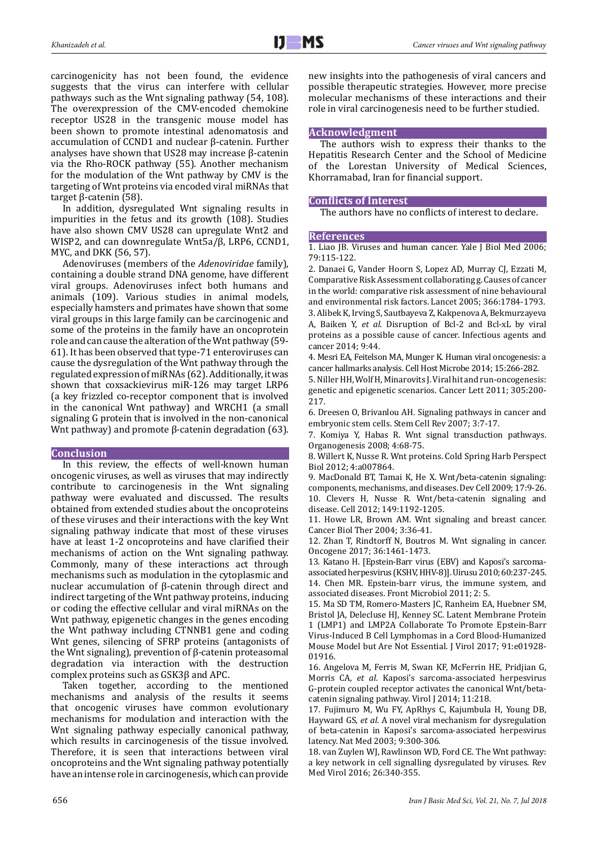carcinogenicity has not been found, the evidence suggests that the virus can interfere with cellular pathways such as the Wnt signaling pathway (54, 108). The overexpression of the CMV-encoded chemokine receptor US28 in the transgenic mouse model has been shown to promote intestinal adenomatosis and accumulation of CCND1 and nuclear β-catenin. Further analyses have shown that US28 may increase β-catenin via the Rho-ROCK pathway (55). Another mechanism for the modulation of the Wnt pathway by CMV is the targeting of Wnt proteins via encoded viral miRNAs that target β-catenin (58).

In addition, dysregulated Wnt signaling results in impurities in the fetus and its growth (108). Studies have also shown CMV US28 can upregulate Wnt2 and WISP2, and can downregulate Wnt5a/β, LRP6, CCND1, MYC, and DKK (56, 57).

Adenoviruses (members of the *Adenoviridae* family), containing a double strand DNA genome, have different viral groups. Adenoviruses infect both humans and animals (109). Various studies in animal models, especially hamsters and primates have shown that some viral groups in this large family can be carcinogenic and some of the proteins in the family have an oncoprotein role and can cause the alteration of the Wnt pathway (59- 61). It has been observed that type-71 enteroviruses can cause the dysregulation of the Wnt pathway through the regulated expression of miRNAs (62). Additionally, it was shown that coxsackievirus miR-126 may target LRP6 (a key frizzled co-receptor component that is involved in the canonical Wnt pathway) and WRCH1 (a small signaling G protein that is involved in the non-canonical Wnt pathway) and promote β-catenin degradation (63).

#### **Conclusion**

In this review, the effects of well-known human oncogenic viruses, as well as viruses that may indirectly contribute to carcinogenesis in the Wnt signaling pathway were evaluated and discussed. The results obtained from extended studies about the oncoproteins of these viruses and their interactions with the key Wnt signaling pathway indicate that most of these viruses have at least 1-2 oncoproteins and have clarified their mechanisms of action on the Wnt signaling pathway. Commonly, many of these interactions act through mechanisms such as modulation in the cytoplasmic and nuclear accumulation of β-catenin through direct and indirect targeting of the Wnt pathway proteins, inducing or coding the effective cellular and viral miRNAs on the Wnt pathway, epigenetic changes in the genes encoding the Wnt pathway including CTNNB1 gene and coding Wnt genes, silencing of SFRP proteins (antagonists of the Wnt signaling), prevention of β-catenin proteasomal degradation via interaction with the destruction complex proteins such as GSK3β and APC.

Taken together, according to the mentioned mechanisms and analysis of the results it seems that oncogenic viruses have common evolutionary mechanisms for modulation and interaction with the Wnt signaling pathway especially canonical pathway, which results in carcinogenesis of the tissue involved. Therefore, it is seen that interactions between viral oncoproteins and the Wnt signaling pathway potentially have an intense role in carcinogenesis, which can provide new insights into the pathogenesis of viral cancers and possible therapeutic strategies. However, more precise molecular mechanisms of these interactions and their role in viral carcinogenesis need to be further studied.

#### **Acknowledgment**

The authors wish to express their thanks to the Hepatitis Research Center and the School of Medicine of the Lorestan University of Medical Sciences, Khorramabad, Iran for financial support.

### **Conflicts of Interest**

The authors have no conflicts of interest to declare.

## **References**

1. Liao JB. Viruses and human cancer. Yale J Biol Med 2006; 79:115-122.

2. Danaei G, Vander Hoorn S, Lopez AD, Murray CJ, Ezzati M, Comparative Risk Assessment collaborating g. Causes of cancer in the world: comparative risk assessment of nine behavioural and environmental risk factors. Lancet 2005; 366:1784-1793. 3. Alibek K, Irving S, Sautbayeva Z, Kakpenova A, Bekmurzayeva A, Baiken Y, *et al*. Disruption of Bcl-2 and Bcl-xL by viral proteins as a possible cause of cancer. Infectious agents and cancer 2014; 9:44.

4. Mesri EA, Feitelson MA, Munger K. Human viral oncogenesis: a cancer hallmarks analysis. Cell Host Microbe 2014; 15:266-282.

5. Niller HH, Wolf H, Minarovits J. Viral hit and run-oncogenesis: genetic and epigenetic scenarios. Cancer Lett 2011; 305:200- 217.

6. Dreesen O, Brivanlou AH. Signaling pathways in cancer and embryonic stem cells. Stem Cell Rev 2007; 3:7-17.

7. Komiya Y, Habas R. Wnt signal transduction pathways. Organogenesis 2008; 4:68-75.

8. Willert K, Nusse R. Wnt proteins. Cold Spring Harb Perspect Biol 2012; 4:a007864.

9. MacDonald BT, Tamai K, He X. Wnt/beta-catenin signaling: components, mechanisms, and diseases. Dev Cell 2009; 17:9-26. 10. Clevers H, Nusse R. Wnt/beta-catenin signaling and disease. Cell 2012; 149:1192-1205.

11. Howe LR, Brown AM. Wnt signaling and breast cancer. Cancer Biol Ther 2004; 3:36-41.

12. Zhan T, Rindtorff N, Boutros M. Wnt signaling in cancer. Oncogene 2017; 36:1461-1473.

13. Katano H. [Epstein-Barr virus (EBV) and Kaposi's sarcomaassociated herpesvirus (KSHV, HHV-8)]. Uirusu 2010; 60:237-245. 14. Chen MR. Epstein-barr virus, the immune system, and associated diseases. Front Microbiol 2011; 2: 5.

15. Ma SD TM, Romero-Masters JC, Ranheim EA, Huebner SM, Bristol JA, Delecluse HJ, Kenney SC. Latent Membrane Protein 1 (LMP1) and LMP2A Collaborate To Promote Epstein-Barr Virus-Induced B Cell Lymphomas in a Cord Blood-Humanized Mouse Model but Are Not Essential. J Virol 2017; 91:e01928- 01916.

16. Angelova M, Ferris M, Swan KF, McFerrin HE, Pridjian G, Morris CA, *et al*. Kaposi's sarcoma-associated herpesvirus G-protein coupled receptor activates the canonical Wnt/betacatenin signaling pathway. Virol J 2014; 11:218.

17. Fujimuro M, Wu FY, ApRhys C, Kajumbula H, Young DB, Hayward GS, *et al*. A novel viral mechanism for dysregulation of beta-catenin in Kaposi's sarcoma-associated herpesvirus latency. Nat Med 2003; 9:300-306.

18. van Zuylen WJ, Rawlinson WD, Ford CE. The Wnt pathway: a key network in cell signalling dysregulated by viruses. Rev Med Virol 2016; 26:340-355.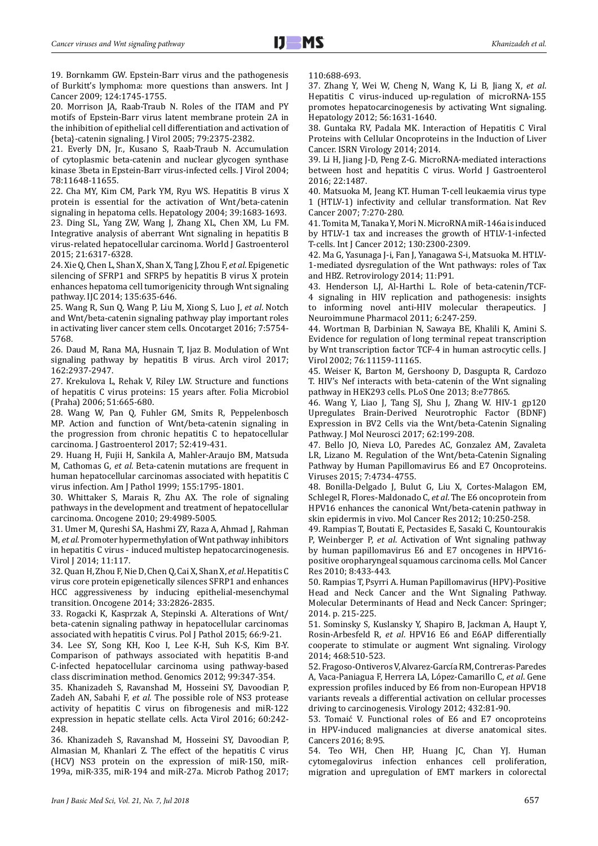19. Bornkamm GW. Epstein-Barr virus and the pathogenesis of Burkitt's lymphoma: more questions than answers. Int J Cancer 2009; 124:1745-1755.

20. Morrison JA, Raab-Traub N. Roles of the ITAM and PY motifs of Epstein-Barr virus latent membrane protein 2A in the inhibition of epithelial cell differentiation and activation of {beta}-catenin signaling. J Virol 2005; 79:2375-2382.

21. Everly DN, Jr., Kusano S, Raab-Traub N. Accumulation of cytoplasmic beta-catenin and nuclear glycogen synthase kinase 3beta in Epstein-Barr virus-infected cells. J Virol 2004; 78:11648-11655.

22. Cha MY, Kim CM, Park YM, Ryu WS. Hepatitis B virus X protein is essential for the activation of Wnt/beta-catenin signaling in hepatoma cells. Hepatology 2004; 39:1683-1693.

23. Ding SL, Yang ZW, Wang J, Zhang XL, Chen XM, Lu FM. Integrative analysis of aberrant Wnt signaling in hepatitis B virus-related hepatocellular carcinoma. World J Gastroenterol 2015; 21:6317-6328.

24. Xie Q, Chen L, Shan X, Shan X, Tang J, Zhou F, *et al*. Epigenetic silencing of SFRP1 and SFRP5 by hepatitis B virus X protein enhances hepatoma cell tumorigenicity through Wnt signaling pathway. IJC 2014; 135:635-646.

25. Wang R, Sun Q, Wang P, Liu M, Xiong S, Luo J, *et al*. Notch and Wnt/beta-catenin signaling pathway play important roles in activating liver cancer stem cells. Oncotarget 2016; 7:5754- 5768.

26. Daud M, Rana MA, Husnain T, Ijaz B. Modulation of Wnt signaling pathway by hepatitis B virus. Arch virol 2017; 162:2937-2947.

27. Krekulova L, Rehak V, Riley LW. Structure and functions of hepatitis C virus proteins: 15 years after. Folia Microbiol (Praha) 2006; 51:665-680.

28. Wang W, Pan Q, Fuhler GM, Smits R, Peppelenbosch MP. Action and function of Wnt/beta-catenin signaling in the progression from chronic hepatitis C to hepatocellular carcinoma. J Gastroenterol 2017; 52:419-431.

29. Huang H, Fujii H, Sankila A, Mahler-Araujo BM, Matsuda M, Cathomas G, *et al*. Beta-catenin mutations are frequent in human hepatocellular carcinomas associated with hepatitis C virus infection. Am J Pathol 1999; 155:1795-1801.

30. Whittaker S, Marais R, Zhu AX. The role of signaling pathways in the development and treatment of hepatocellular carcinoma. Oncogene 2010; 29:4989-5005.

31. Umer M, Qureshi SA, Hashmi ZY, Raza A, Ahmad J, Rahman M, *et al*. Promoter hypermethylation of Wnt pathway inhibitors in hepatitis C virus - induced multistep hepatocarcinogenesis. Virol J 2014; 11:117.

32. Quan H, Zhou F, Nie D, Chen Q, Cai X, Shan X, *et al*. Hepatitis C virus core protein epigenetically silences SFRP1 and enhances HCC aggressiveness by inducing epithelial-mesenchymal transition. Oncogene 2014; 33:2826-2835.

33. Rogacki K, Kasprzak A, Stepinski A. Alterations of Wnt/ beta-catenin signaling pathway in hepatocellular carcinomas associated with hepatitis C virus. Pol J Pathol 2015; 66:9-21.

34. Lee SY, Song KH, Koo I, Lee K-H, Suh K-S, Kim B-Y. Comparison of pathways associated with hepatitis B-and C-infected hepatocellular carcinoma using pathway-based class discrimination method. Genomics 2012; 99:347-354.

35. Khanizadeh S, Ravanshad M, Hosseini SY, Davoodian P, Zadeh AN, Sabahi F, *et al*. The possible role of NS3 protease activity of hepatitis C virus on fibrogenesis and miR-122 expression in hepatic stellate cells. Acta Virol 2016; 60:242- 248.

36. Khanizadeh S, Ravanshad M, Hosseini SY, Davoodian P, Almasian M, Khanlari Z. The effect of the hepatitis C virus (HCV) NS3 protein on the expression of miR-150, miR-199a, miR-335, miR-194 and miR-27a. Microb Pathog 2017; 110:688-693.

37. Zhang Y, Wei W, Cheng N, Wang K, Li B, Jiang X, *et al*. Hepatitis C virus-induced up-regulation of microRNA-155 promotes hepatocarcinogenesis by activating Wnt signaling. Hepatology 2012; 56:1631-1640.

38. Guntaka RV, Padala MK. Interaction of Hepatitis C Viral Proteins with Cellular Oncoproteins in the Induction of Liver Cancer. ISRN Virology 2014; 2014.

39. Li H, Jiang J-D, Peng Z-G. MicroRNA-mediated interactions between host and hepatitis C virus. World J Gastroenterol 2016; 22:1487.

40. Matsuoka M, Jeang KT. Human T-cell leukaemia virus type 1 (HTLV-1) infectivity and cellular transformation. Nat Rev Cancer 2007; 7:270-280.

41. Tomita M, Tanaka Y, Mori N. MicroRNA miR-146a is induced by HTLV-1 tax and increases the growth of HTLV-1-infected T-cells. Int J Cancer 2012; 130:2300-2309.

42. Ma G, Yasunaga J-i, Fan J, Yanagawa S-i, Matsuoka M. HTLV-1-mediated dysregulation of the Wnt pathways: roles of Tax and HBZ. Retrovirology 2014; 11:P91.

43. Henderson LJ, Al-Harthi L. Role of beta-catenin/TCF-4 signaling in HIV replication and pathogenesis: insights to informing novel anti-HIV molecular therapeutics. J Neuroimmune Pharmacol 2011; 6:247-259.

44. Wortman B, Darbinian N, Sawaya BE, Khalili K, Amini S. Evidence for regulation of long terminal repeat transcription by Wnt transcription factor TCF-4 in human astrocytic cells. J Virol 2002; 76:11159-11165.

45. Weiser K, Barton M, Gershoony D, Dasgupta R, Cardozo T. HIV's Nef interacts with beta-catenin of the Wnt signaling pathway in HEK293 cells. PLoS One 2013; 8:e77865.

46. Wang Y, Liao J, Tang SJ, Shu J, Zhang W. HIV-1 gp120 Upregulates Brain-Derived Neurotrophic Factor (BDNF) Expression in BV2 Cells via the Wnt/beta-Catenin Signaling Pathway. J Mol Neurosci 2017; 62:199-208.

47. Bello JO, Nieva LO, Paredes AC, Gonzalez AM, Zavaleta LR, Lizano M. Regulation of the Wnt/beta-Catenin Signaling Pathway by Human Papillomavirus E6 and E7 Oncoproteins. Viruses 2015; 7:4734-4755.

48. Bonilla-Delgado J, Bulut G, Liu X, Cortes-Malagon EM, Schlegel R, Flores-Maldonado C, *et al*. The E6 oncoprotein from HPV16 enhances the canonical Wnt/beta-catenin pathway in skin epidermis in vivo. Mol Cancer Res 2012; 10:250-258.

49. Rampias T, Boutati E, Pectasides E, Sasaki C, Kountourakis P, Weinberger P, *et al*. Activation of Wnt signaling pathway by human papillomavirus E6 and E7 oncogenes in HPV16 positive oropharyngeal squamous carcinoma cells. Mol Cancer Res 2010; 8:433-443.

50. Rampias T, Psyrri A. Human Papillomavirus (HPV)-Positive Head and Neck Cancer and the Wnt Signaling Pathway. Molecular Determinants of Head and Neck Cancer: Springer; 2014. p. 215-225.

51. Sominsky S, Kuslansky Y, Shapiro B, Jackman A, Haupt Y, Rosin-Arbesfeld R, *et al*. HPV16 E6 and E6AP differentially cooperate to stimulate or augment Wnt signaling. Virology 2014; 468:510-523.

52. Fragoso-Ontiveros V, Alvarez-García RM, Contreras-Paredes A, Vaca-Paniagua F, Herrera LA, López-Camarillo C, *et al*. Gene expression profiles induced by E6 from non-European HPV18 variants reveals a differential activation on cellular processes driving to carcinogenesis. Virology 2012; 432:81-90.

53. Tomaić V. Functional roles of E6 and E7 oncoproteins in HPV-induced malignancies at diverse anatomical sites. Cancers 2016; 8:95.

54. Teo WH, Chen HP, Huang JC, Chan YJ. Human cytomegalovirus infection enhances cell proliferation, migration and upregulation of EMT markers in colorectal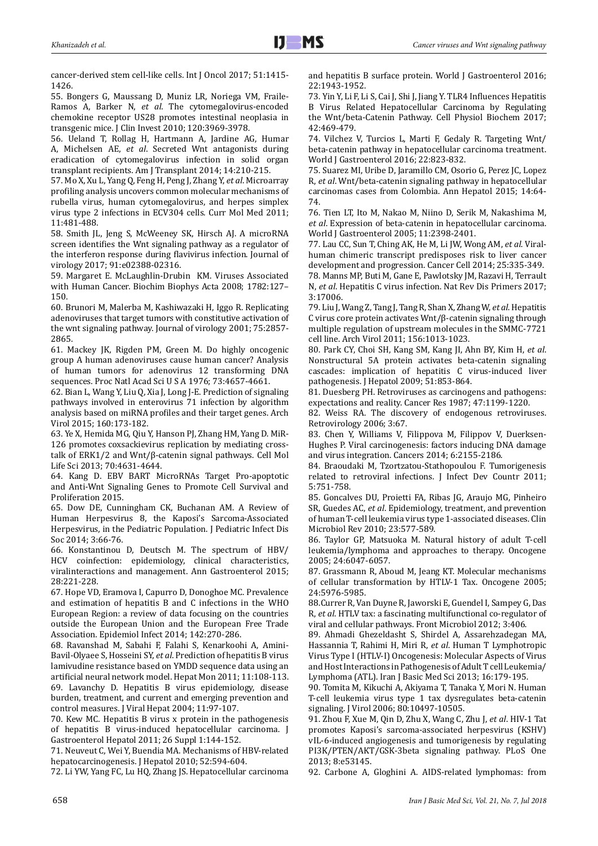cancer-derived stem cell-like cells. Int J Oncol 2017; 51:1415- 1426.

55. Bongers G, Maussang D, Muniz LR, Noriega VM, Fraile-Ramos A, Barker N, *et al*. The cytomegalovirus-encoded chemokine receptor US28 promotes intestinal neoplasia in transgenic mice. J Clin Invest 2010; 120:3969-3978.

56. Ueland T, Rollag H, Hartmann A, Jardine AG, Humar A, Michelsen AE, *et al*. Secreted Wnt antagonists during eradication of cytomegalovirus infection in solid organ transplant recipients. Am J Transplant 2014; 14:210-215.

57. Mo X, Xu L, Yang Q, Feng H, Peng J, Zhang Y, *et al*. Microarray profiling analysis uncovers common molecular mechanisms of rubella virus, human cytomegalovirus, and herpes simplex virus type 2 infections in ECV304 cells. Curr Mol Med 2011; 11:481-488.

58. Smith JL, Jeng S, McWeeney SK, Hirsch AJ. A microRNA screen identifies the Wnt signaling pathway as a regulator of the interferon response during flavivirus infection. Journal of virology 2017; 91:e02388-02316.

59. Margaret E. McLaughlin-Drubin KM. Viruses Associated with Human Cancer. Biochim Biophys Acta 2008; 1782:127– 150.

60. Brunori M, Malerba M, Kashiwazaki H, Iggo R. Replicating adenoviruses that target tumors with constitutive activation of the wnt signaling pathway. Journal of virology 2001; 75:2857- 2865.

61. Mackey JK, Rigden PM, Green M. Do highly oncogenic group A human adenoviruses cause human cancer? Analysis of human tumors for adenovirus 12 transforming DNA sequences. Proc Natl Acad Sci U S A 1976; 73:4657-4661.

62. Bian L, Wang Y, Liu Q, Xia J, Long J-E. Prediction of signaling pathways involved in enterovirus 71 infection by algorithm analysis based on miRNA profiles and their target genes. Arch Virol 2015; 160:173-182.

63. Ye X, Hemida MG, Qiu Y, Hanson PJ, Zhang HM, Yang D. MiR-126 promotes coxsackievirus replication by mediating crosstalk of ERK1/2 and Wnt/β-catenin signal pathways. Cell Mol Life Sci 2013; 70:4631-4644.

64. Kang D. EBV BART MicroRNAs Target Pro-apoptotic and Anti-Wnt Signaling Genes to Promote Cell Survival and Proliferation 2015.

65. Dow DE, Cunningham CK, Buchanan AM. A Review of Human Herpesvirus 8, the Kaposi's Sarcoma-Associated Herpesvirus, in the Pediatric Population. J Pediatric Infect Dis Soc 2014; 3:66-76.

66. Konstantinou D, Deutsch M. The spectrum of HBV/ HCV coinfection: epidemiology, clinical characteristics, viralinteractions and management. Ann Gastroenterol 2015; 28:221-228.

67. Hope VD, Eramova I, Capurro D, Donoghoe MC. Prevalence and estimation of hepatitis B and C infections in the WHO European Region: a review of data focusing on the countries outside the European Union and the European Free Trade Association. Epidemiol Infect 2014; 142:270-286.

68. Ravanshad M, Sabahi F, Falahi S, Kenarkoohi A, Amini-Bavil-Olyaee S, Hosseini SY, *et al*. Prediction of hepatitis B virus lamivudine resistance based on YMDD sequence data using an artificial neural network model. Hepat Mon 2011; 11:108-113. 69. Lavanchy D. Hepatitis B virus epidemiology, disease burden, treatment, and current and emerging prevention and control measures. J Viral Hepat 2004; 11:97-107.

70. Kew MC. Hepatitis B virus x protein in the pathogenesis of hepatitis B virus-induced hepatocellular carcinoma. J Gastroenterol Hepatol 2011; 26 Suppl 1:144-152.

71. Neuveut C, Wei Y, Buendia MA. Mechanisms of HBV-related hepatocarcinogenesis. J Hepatol 2010; 52:594-604.

72. Li YW, Yang FC, Lu HQ, Zhang JS. Hepatocellular carcinoma

and hepatitis B surface protein. World J Gastroenterol 2016; 22:1943-1952.

73. Yin Y, Li F, Li S, Cai J, Shi J, Jiang Y. TLR4 Influences Hepatitis B Virus Related Hepatocellular Carcinoma by Regulating the Wnt/beta-Catenin Pathway. Cell Physiol Biochem 2017; 42:469-479.

74. Vilchez V, Turcios L, Marti F, Gedaly R. Targeting Wnt/ beta-catenin pathway in hepatocellular carcinoma treatment. World J Gastroenterol 2016; 22:823-832.

75. Suarez MI, Uribe D, Jaramillo CM, Osorio G, Perez JC, Lopez R, *et al*. Wnt/beta-catenin signaling pathway in hepatocellular carcinomas cases from Colombia. Ann Hepatol 2015; 14:64- 74.

76. Tien LT, Ito M, Nakao M, Niino D, Serik M, Nakashima M, *et al*. Expression of beta-catenin in hepatocellular carcinoma. World J Gastroenterol 2005; 11:2398-2401.

77. Lau CC, Sun T, Ching AK, He M, Li JW, Wong AM, *et al*. Viralhuman chimeric transcript predisposes risk to liver cancer development and progression. Cancer Cell 2014; 25:335-349.

78. Manns MP, Buti M, Gane E, Pawlotsky JM, Razavi H, Terrault N, *et al*. Hepatitis C virus infection. Nat Rev Dis Primers 2017; 3:17006.

79. Liu J, Wang Z, Tang J, Tang R, Shan X, Zhang W, *et al*. Hepatitis C virus core protein activates Wnt/β-catenin signaling through multiple regulation of upstream molecules in the SMMC-7721 cell line. Arch Virol 2011; 156:1013-1023.

80. Park CY, Choi SH, Kang SM, Kang JI, Ahn BY, Kim H, *et al*. Nonstructural 5A protein activates beta-catenin signaling cascades: implication of hepatitis C virus-induced liver pathogenesis. J Hepatol 2009; 51:853-864.

81. Duesberg PH. Retroviruses as carcinogens and pathogens: expectations and reality. Cancer Res 1987; 47:1199-1220.

82. Weiss RA. The discovery of endogenous retroviruses. Retrovirology 2006; 3:67.

83. Chen Y, Williams V, Filippova M, Filippov V, Duerksen-Hughes P. Viral carcinogenesis: factors inducing DNA damage and virus integration. Cancers 2014; 6:2155-2186.

84. Braoudaki M, Tzortzatou-Stathopoulou F. Tumorigenesis related to retroviral infections. J Infect Dev Countr 2011; 5:751-758.

85. Goncalves DU, Proietti FA, Ribas JG, Araujo MG, Pinheiro SR, Guedes AC, *et al*. Epidemiology, treatment, and prevention of human T-cell leukemia virus type 1-associated diseases. Clin Microbiol Rev 2010; 23:577-589.

86. Taylor GP, Matsuoka M. Natural history of adult T-cell leukemia/lymphoma and approaches to therapy. Oncogene 2005; 24:6047-6057.

87. Grassmann R, Aboud M, Jeang KT. Molecular mechanisms of cellular transformation by HTLV-1 Tax. Oncogene 2005; 24:5976-5985.

88.Currer R, Van Duyne R, Jaworski E, Guendel I, Sampey G, Das R, *et al*. HTLV tax: a fascinating multifunctional co-regulator of viral and cellular pathways. Front Microbiol 2012; 3:406.

89. Ahmadi Ghezeldasht S, Shirdel A, Assarehzadegan MA, Hassannia T, Rahimi H, Miri R, *et al*. Human T Lymphotropic Virus Type I (HTLV-I) Oncogenesis: Molecular Aspects of Virus and Host Interactions in Pathogenesis of Adult T cell Leukemia/ Lymphoma (ATL). Iran J Basic Med Sci 2013; 16:179-195.

90. Tomita M, Kikuchi A, Akiyama T, Tanaka Y, Mori N. Human T-cell leukemia virus type 1 tax dysregulates beta-catenin signaling. J Virol 2006; 80:10497-10505.

91. Zhou F, Xue M, Qin D, Zhu X, Wang C, Zhu J, *et al*. HIV-1 Tat promotes Kaposi's sarcoma-associated herpesvirus (KSHV) vIL-6-induced angiogenesis and tumorigenesis by regulating PI3K/PTEN/AKT/GSK-3beta signaling pathway. PLoS One 2013; 8:e53145.

92. Carbone A, Gloghini A. AIDS-related lymphomas: from